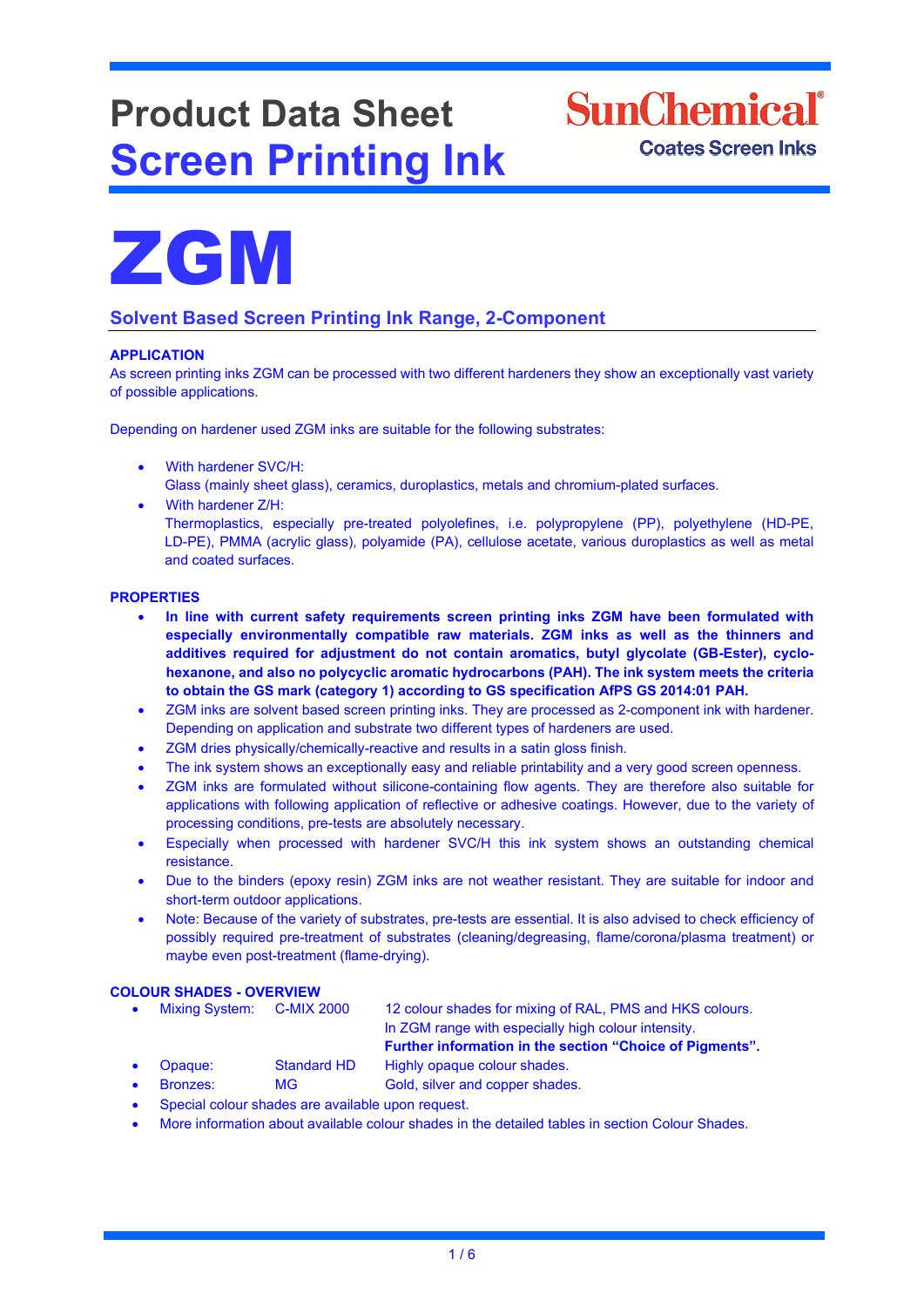# **Product Data Sheet Screen Printing Ink**





## **Solvent Based Screen Printing Ink Range, 2-Component**

#### **APPLICATION**

As screen printing inks ZGM can be processed with two different hardeners they show an exceptionally vast variety of possible applications.

Depending on hardener used ZGM inks are suitable for the following substrates:

- With hardener SVC/H: Glass (mainly sheet glass), ceramics, duroplastics, metals and chromium-plated surfaces.
- With hardener Z/H:

Thermoplastics, especially pre-treated polyolefines, i.e. polypropylene (PP), polyethylene (HD-PE, LD-PE), PMMA (acrylic glass), polyamide (PA), cellulose acetate, various duroplastics as well as metal and coated surfaces.

#### **PROPERTIES**

- **In line with current safety requirements screen printing inks ZGM have been formulated with especially environmentally compatible raw materials. ZGM inks as well as the thinners and additives required for adjustment do not contain aromatics, butyl glycolate (GB-Ester), cyclohexanone, and also no polycyclic aromatic hydrocarbons (PAH). The ink system meets the criteria to obtain the GS mark (category 1) according to GS specification AfPS GS 2014:01 PAH.**
- ZGM inks are solvent based screen printing inks. They are processed as 2-component ink with hardener. Depending on application and substrate two different types of hardeners are used.
- ZGM dries physically/chemically-reactive and results in a satin gloss finish.
- The ink system shows an exceptionally easy and reliable printability and a very good screen openness.
- ZGM inks are formulated without silicone-containing flow agents. They are therefore also suitable for applications with following application of reflective or adhesive coatings. However, due to the variety of processing conditions, pre-tests are absolutely necessary.
- Especially when processed with hardener SVC/H this ink system shows an outstanding chemical resistance.
- Due to the binders (epoxy resin) ZGM inks are not weather resistant. They are suitable for indoor and short-term outdoor applications.
- Note: Because of the variety of substrates, pre-tests are essential. It is also advised to check efficiency of possibly required pre-treatment of substrates (cleaning/degreasing, flame/corona/plasma treatment) or maybe even post-treatment (flame-drying).

## **COLOUR SHADES - OVERVIEW**

- 12 colour shades for mixing of RAL, PMS and HKS colours. In ZGM range with especially high colour intensity.
	- **Further information in the section "Choice of Pigments".**
- Opaque: Standard HD Highly opaque colour shades.
- **Bronzes:** MG Gold, silver and copper shades.
- Special colour shades are available upon request.
- More information about available colour shades in the detailed tables in section Colour Shades.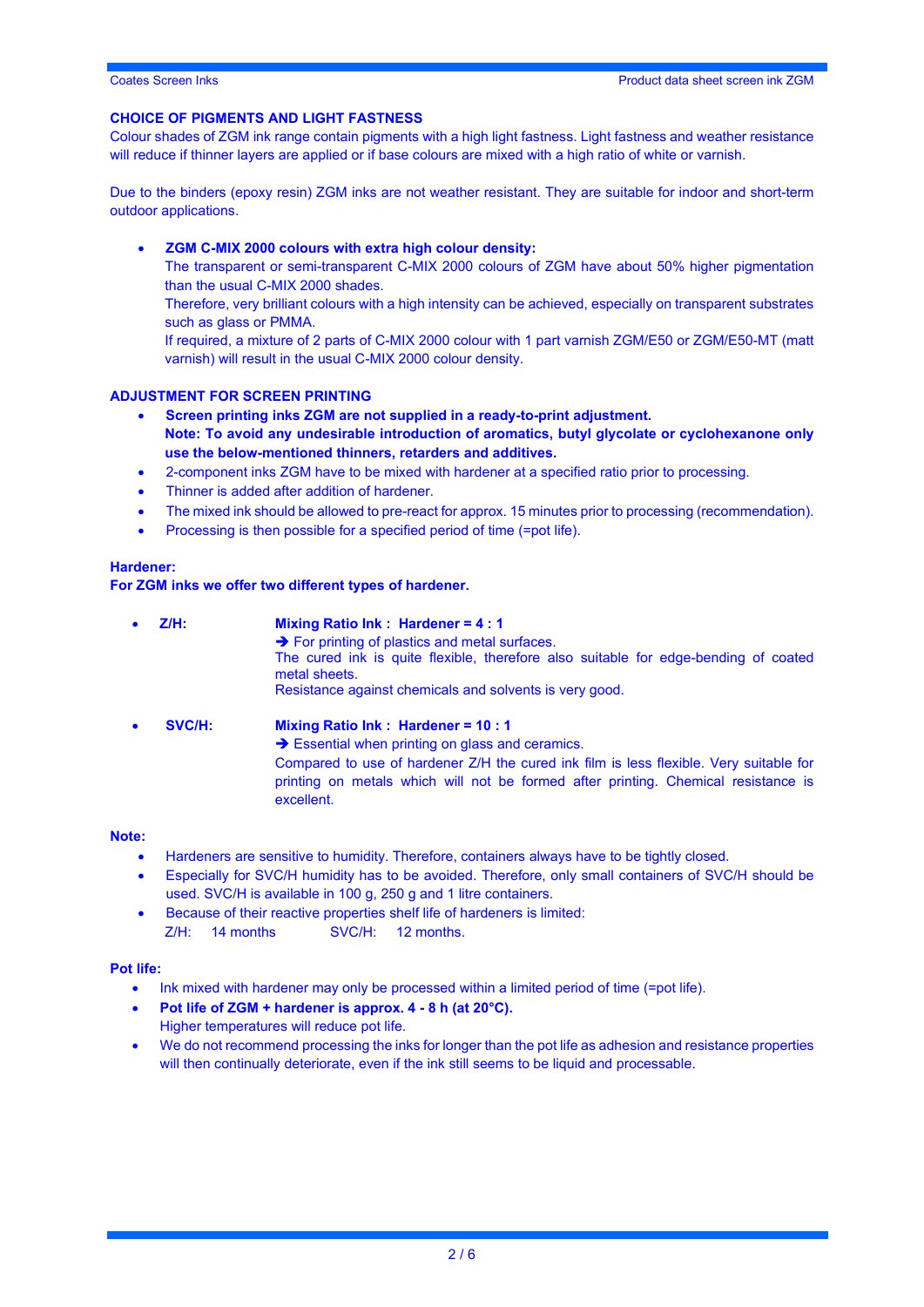#### **CHOICE OF PIGMENTS AND LIGHT FASTNESS**

Colour shades of ZGM ink range contain pigments with a high light fastness. Light fastness and weather resistance will reduce if thinner layers are applied or if base colours are mixed with a high ratio of white or varnish.

Due to the binders (epoxy resin) ZGM inks are not weather resistant. They are suitable for indoor and short-term outdoor applications.

• **ZGM C-MIX 2000 colours with extra high colour density:**

The transparent or semi-transparent C-MIX 2000 colours of ZGM have about 50% higher pigmentation than the usual C-MIX 2000 shades.

Therefore, very brilliant colours with a high intensity can be achieved, especially on transparent substrates such as glass or PMMA.

If required, a mixture of 2 parts of C-MIX 2000 colour with 1 part varnish ZGM/E50 or ZGM/E50-MT (matt varnish) will result in the usual C-MIX 2000 colour density.

#### **ADJUSTMENT FOR SCREEN PRINTING**

- **Screen printing inks ZGM are not supplied in a ready-to-print adjustment.**
- **Note: To avoid any undesirable introduction of aromatics, butyl glycolate or cyclohexanone only use the below-mentioned thinners, retarders and additives.**
- 2-component inks ZGM have to be mixed with hardener at a specified ratio prior to processing.
- Thinner is added after addition of hardener.
- The mixed ink should be allowed to pre-react for approx. 15 minutes prior to processing (recommendation).
- Processing is then possible for a specified period of time (=pot life).

#### **Hardener:**

#### **For ZGM inks we offer two different types of hardener.**

excellent.

• **Z/H: Mixing Ratio Ink : Hardener = 4 : 1**  $\rightarrow$  For printing of plastics and metal surfaces. The cured ink is quite flexible, therefore also suitable for edge-bending of coated metal sheets. Resistance against chemicals and solvents is very good. • **SVC/H: Mixing Ratio Ink : Hardener = 10 : 1**  $\rightarrow$  Essential when printing on glass and ceramics. Compared to use of hardener Z/H the cured ink film is less flexible. Very suitable for printing on metals which will not be formed after printing. Chemical resistance is

#### **Note:**

- Hardeners are sensitive to humidity. Therefore, containers always have to be tightly closed.
- Especially for SVC/H humidity has to be avoided. Therefore, only small containers of SVC/H should be used. SVC/H is available in 100 g, 250 g and 1 litre containers.
- Because of their reactive properties shelf life of hardeners is limited: Z/H: 14 months SVC/H: 12 months.

#### **Pot life:**

- Ink mixed with hardener may only be processed within a limited period of time (=pot life).
- **Pot life of ZGM + hardener is approx. 4 - 8 h (at 20°C).** Higher temperatures will reduce pot life.
- We do not recommend processing the inks for longer than the pot life as adhesion and resistance properties will then continually deteriorate, even if the ink still seems to be liquid and processable.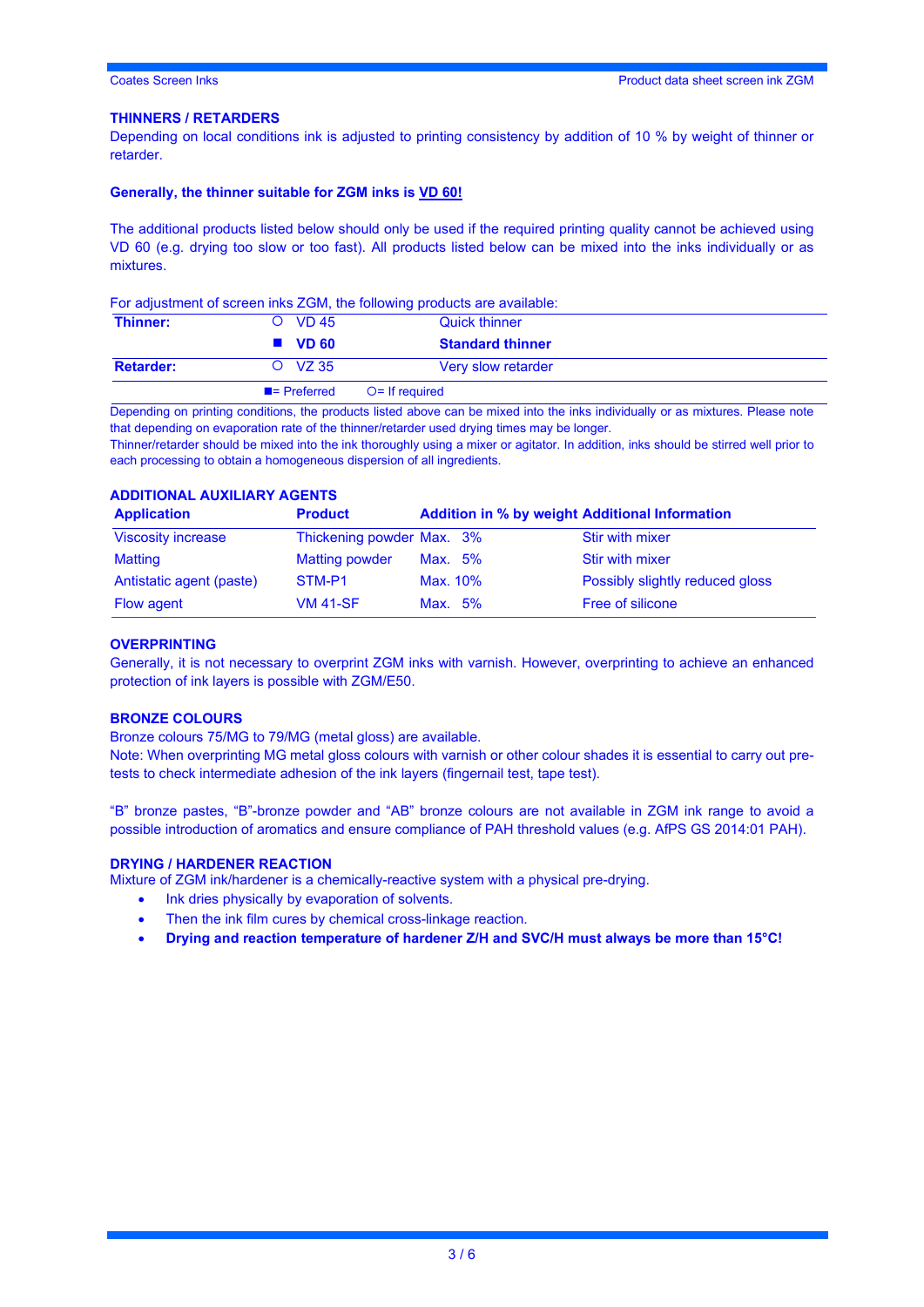#### **THINNERS / RETARDERS**

Depending on local conditions ink is adjusted to printing consistency by addition of 10 % by weight of thinner or retarder.

#### **Generally, the thinner suitable for ZGM inks is VD 60!**

The additional products listed below should only be used if the required printing quality cannot be achieved using VD 60 (e.g. drying too slow or too fast). All products listed below can be mixed into the inks individually or as mixtures.

For adjustment of screen inks ZGM, the following products are available:

| Thinner:         | O VD 45                  | <b>Quick thinner</b>    |  |
|------------------|--------------------------|-------------------------|--|
|                  | $\blacksquare$ VD 60     | <b>Standard thinner</b> |  |
| <b>Retarder:</b> | $O$ VZ 35                | Very slow retarder      |  |
|                  | $\blacksquare$ Preferred | $O =$ If required       |  |

Depending on printing conditions, the products listed above can be mixed into the inks individually or as mixtures. Please note that depending on evaporation rate of the thinner/retarder used drying times may be longer.

Thinner/retarder should be mixed into the ink thoroughly using a mixer or agitator. In addition, inks should be stirred well prior to each processing to obtain a homogeneous dispersion of all ingredients.

#### **ADDITIONAL AUXILIARY AGENTS**

| <b>Application</b>        | <b>Product</b>            | <b>Addition in % by weight Additional Information</b> |                                 |
|---------------------------|---------------------------|-------------------------------------------------------|---------------------------------|
| <b>Viscosity increase</b> | Thickening powder Max. 3% |                                                       | <b>Stir with mixer</b>          |
| Matting                   | <b>Matting powder</b>     | Max. 5%                                               | Stir with mixer                 |
| Antistatic agent (paste)  | STM-P1                    | Max. 10%                                              | Possibly slightly reduced gloss |
| <b>Flow agent</b>         | <b>VM 41-SF</b>           | Max. $5\%$                                            | Free of silicone                |

#### **OVERPRINTING**

Generally, it is not necessary to overprint ZGM inks with varnish. However, overprinting to achieve an enhanced protection of ink layers is possible with ZGM/E50.

#### **BRONZE COLOURS**

Bronze colours 75/MG to 79/MG (metal gloss) are available.

Note: When overprinting MG metal gloss colours with varnish or other colour shades it is essential to carry out pretests to check intermediate adhesion of the ink layers (fingernail test, tape test).

"B" bronze pastes, "B"-bronze powder and "AB" bronze colours are not available in ZGM ink range to avoid a possible introduction of aromatics and ensure compliance of PAH threshold values (e.g. AfPS GS 2014:01 PAH).

#### **DRYING / HARDENER REACTION**

Mixture of ZGM ink/hardener is a chemically-reactive system with a physical pre-drying.

- Ink dries physically by evaporation of solvents.
- Then the ink film cures by chemical cross-linkage reaction.
- **Drying and reaction temperature of hardener Z/H and SVC/H must always be more than 15°C!**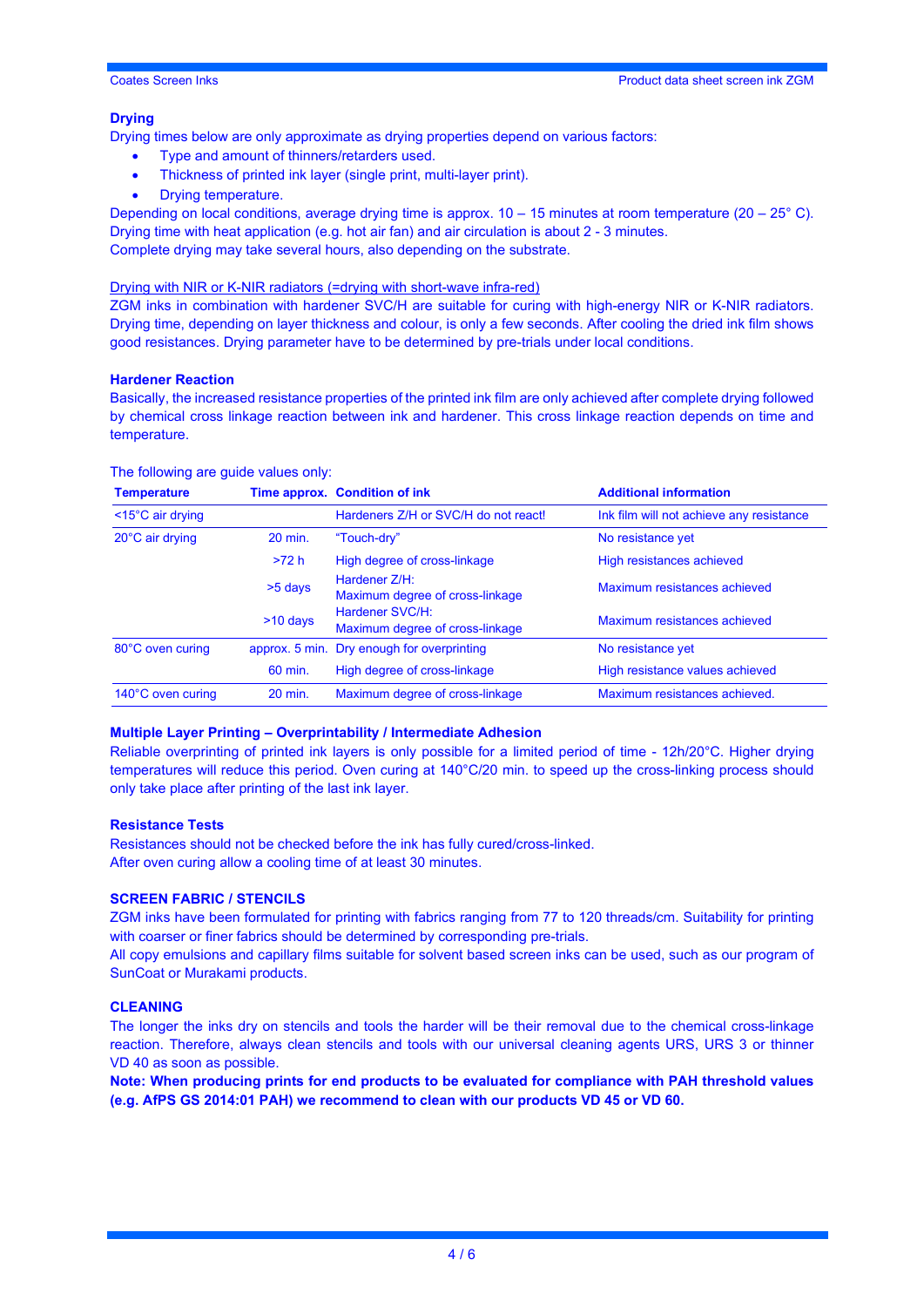#### **Drying**

Drying times below are only approximate as drying properties depend on various factors:

- Type and amount of thinners/retarders used.
- Thickness of printed ink layer (single print, multi-layer print).
- Drying temperature.

Depending on local conditions, average drying time is approx.  $10 - 15$  minutes at room temperature ( $20 - 25$ °C). Drying time with heat application (e.g. hot air fan) and air circulation is about 2 - 3 minutes. Complete drying may take several hours, also depending on the substrate.

#### Drying with NIR or K-NIR radiators (=drying with short-wave infra-red)

ZGM inks in combination with hardener SVC/H are suitable for curing with high-energy NIR or K-NIR radiators. Drying time, depending on layer thickness and colour, is only a few seconds. After cooling the dried ink film shows good resistances. Drying parameter have to be determined by pre-trials under local conditions.

#### **Hardener Reaction**

Basically, the increased resistance properties of the printed ink film are only achieved after complete drying followed by chemical cross linkage reaction between ink and hardener. This cross linkage reaction depends on time and temperature.

| <b>Temperature</b>             |                | Time approx. Condition of ink                      | <b>Additional information</b>            |
|--------------------------------|----------------|----------------------------------------------------|------------------------------------------|
| $<$ 15 $^{\circ}$ C air drying |                | Hardeners Z/H or SVC/H do not react!               | Ink film will not achieve any resistance |
| 20°C air drying                | 20 min.        | "Touch-dry"                                        | No resistance yet                        |
|                                | >72 h          | High degree of cross-linkage                       | High resistances achieved                |
|                                | >5 days        | Hardener Z/H:<br>Maximum degree of cross-linkage   | Maximum resistances achieved             |
|                                | $>10$ days     | Hardener SVC/H:<br>Maximum degree of cross-linkage | Maximum resistances achieved             |
| 80°C oven curing               | approx. 5 min. | Dry enough for overprinting                        | No resistance yet                        |
|                                | 60 min.        | High degree of cross-linkage                       | High resistance values achieved          |
| 140°C oven curing              | 20 min.        | Maximum degree of cross-linkage                    | Maximum resistances achieved.            |

#### The following are guide values only:

### **Multiple Layer Printing – Overprintability / Intermediate Adhesion**

Reliable overprinting of printed ink layers is only possible for a limited period of time - 12h/20°C. Higher drying temperatures will reduce this period. Oven curing at 140°C/20 min. to speed up the cross-linking process should only take place after printing of the last ink layer.

#### **Resistance Tests**

Resistances should not be checked before the ink has fully cured/cross-linked. After oven curing allow a cooling time of at least 30 minutes.

#### **SCREEN FABRIC / STENCILS**

ZGM inks have been formulated for printing with fabrics ranging from 77 to 120 threads/cm. Suitability for printing with coarser or finer fabrics should be determined by corresponding pre-trials.

All copy emulsions and capillary films suitable for solvent based screen inks can be used, such as our program of SunCoat or Murakami products.

#### **CLEANING**

The longer the inks dry on stencils and tools the harder will be their removal due to the chemical cross-linkage reaction. Therefore, always clean stencils and tools with our universal cleaning agents URS, URS 3 or thinner VD 40 as soon as possible.

**Note: When producing prints for end products to be evaluated for compliance with PAH threshold values (e.g. AfPS GS 2014:01 PAH) we recommend to clean with our products VD 45 or VD 60.**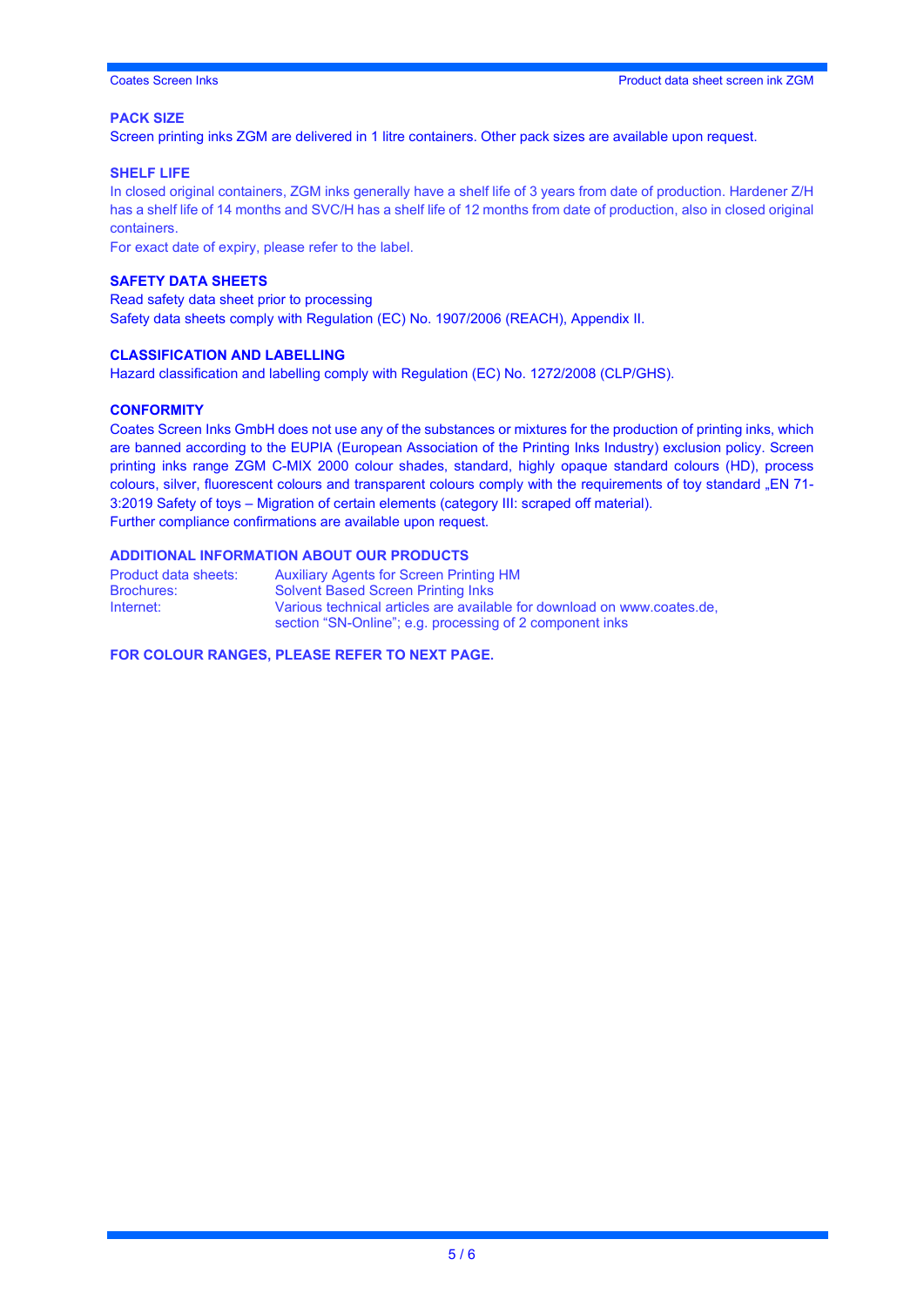#### **PACK SIZE**

Screen printing inks ZGM are delivered in 1 litre containers. Other pack sizes are available upon request.

#### **SHELF LIFE**

In closed original containers, ZGM inks generally have a shelf life of 3 years from date of production. Hardener Z/H has a shelf life of 14 months and SVC/H has a shelf life of 12 months from date of production, also in closed original containers.

For exact date of expiry, please refer to the label.

#### **SAFETY DATA SHEETS**

Read safety data sheet prior to processing Safety data sheets comply with Regulation (EC) No. 1907/2006 (REACH), Appendix II.

#### **CLASSIFICATION AND LABELLING**

Hazard classification and labelling comply with Regulation (EC) No. 1272/2008 (CLP/GHS).

#### **CONFORMITY**

Coates Screen Inks GmbH does not use any of the substances or mixtures for the production of printing inks, which are banned according to the EUPIA (European Association of the Printing Inks Industry) exclusion policy. Screen printing inks range ZGM C-MIX 2000 colour shades, standard, highly opaque standard colours (HD), process colours, silver, fluorescent colours and transparent colours comply with the requirements of toy standard "EN 71-3:2019 Safety of toys – Migration of certain elements (category III: scraped off material). Further compliance confirmations are available upon request.

#### **ADDITIONAL INFORMATION ABOUT OUR PRODUCTS**

| Product data sheets: | <b>Auxiliary Agents for Screen Printing HM</b>                                                                                      |
|----------------------|-------------------------------------------------------------------------------------------------------------------------------------|
| <b>Brochures:</b>    | <b>Solvent Based Screen Printing Inks</b>                                                                                           |
| Internet:            | Various technical articles are available for download on www.coates.de.<br>section "SN-Online"; e.g. processing of 2 component inks |

**FOR COLOUR RANGES, PLEASE REFER TO NEXT PAGE.**